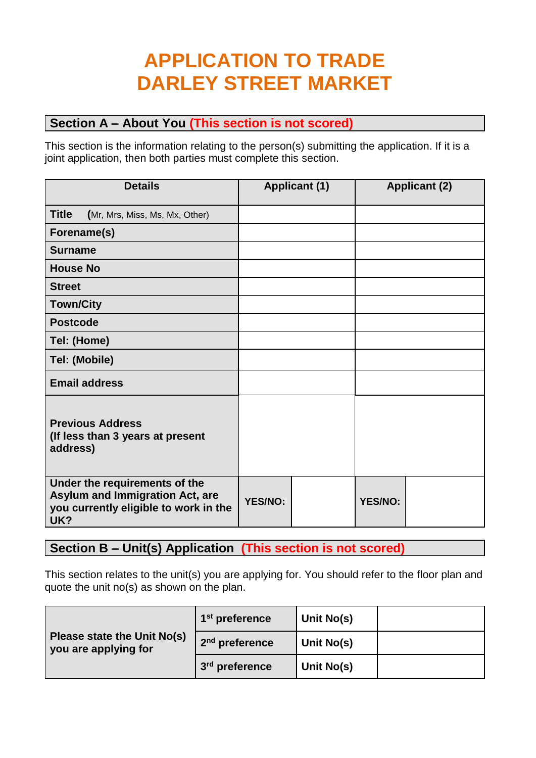# **APPLICATION TO TRADE DARLEY STREET MARKET**

### **Section A – About You (This section is not scored)**

This section is the information relating to the person(s) submitting the application. If it is a joint application, then both parties must complete this section.

| <b>Details</b>                                                                                                          |                | <b>Applicant (1)</b> |                | <b>Applicant (2)</b> |
|-------------------------------------------------------------------------------------------------------------------------|----------------|----------------------|----------------|----------------------|
| <b>Title</b><br>(Mr, Mrs, Miss, Ms, Mx, Other)                                                                          |                |                      |                |                      |
| Forename(s)                                                                                                             |                |                      |                |                      |
| <b>Surname</b>                                                                                                          |                |                      |                |                      |
| <b>House No</b>                                                                                                         |                |                      |                |                      |
| <b>Street</b>                                                                                                           |                |                      |                |                      |
| <b>Town/City</b>                                                                                                        |                |                      |                |                      |
| <b>Postcode</b>                                                                                                         |                |                      |                |                      |
| Tel: (Home)                                                                                                             |                |                      |                |                      |
| Tel: (Mobile)                                                                                                           |                |                      |                |                      |
| <b>Email address</b>                                                                                                    |                |                      |                |                      |
| <b>Previous Address</b><br>(If less than 3 years at present<br>address)                                                 |                |                      |                |                      |
| Under the requirements of the<br><b>Asylum and Immigration Act, are</b><br>you currently eligible to work in the<br>UK? | <b>YES/NO:</b> |                      | <b>YES/NO:</b> |                      |

**Section B – Unit(s) Application (This section is not scored)**

This section relates to the unit(s) you are applying for. You should refer to the floor plan and quote the unit no(s) as shown on the plan.

|                                                     | 1 <sup>st</sup> preference | Unit No(s) |  |
|-----------------------------------------------------|----------------------------|------------|--|
| Please state the Unit No(s)<br>you are applying for | 2 <sup>nd</sup> preference | Unit No(s) |  |
|                                                     | 3 <sup>rd</sup> preference | Unit No(s) |  |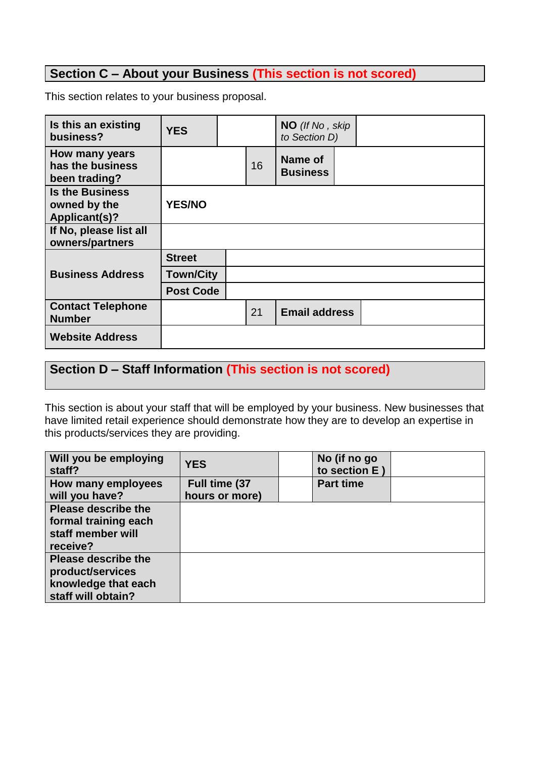### **Section C – About your Business (This section is not scored)**

This section relates to your business proposal.

| Is this an existing<br>business?                               | <b>YES</b>       |    | NO (If No, skip<br>to Section D) |  |
|----------------------------------------------------------------|------------------|----|----------------------------------|--|
| How many years<br>has the business<br>been trading?            |                  | 16 | Name of<br><b>Business</b>       |  |
| <b>Is the Business</b><br>owned by the<br><b>Applicant(s)?</b> | <b>YES/NO</b>    |    |                                  |  |
| If No, please list all<br>owners/partners                      |                  |    |                                  |  |
|                                                                | <b>Street</b>    |    |                                  |  |
| <b>Business Address</b>                                        | <b>Town/City</b> |    |                                  |  |
|                                                                | <b>Post Code</b> |    |                                  |  |
| <b>Contact Telephone</b><br><b>Number</b>                      |                  | 21 | <b>Email address</b>             |  |
| <b>Website Address</b>                                         |                  |    |                                  |  |

# **Section D – Staff Information (This section is not scored)**

This section is about your staff that will be employed by your business. New businesses that have limited retail experience should demonstrate how they are to develop an expertise in this products/services they are providing.

| Will you be employing<br>staff?                                                             | <b>YES</b>                      | No (if no go<br>to section E) |  |
|---------------------------------------------------------------------------------------------|---------------------------------|-------------------------------|--|
| How many employees<br>will you have?                                                        | Full time (37<br>hours or more) | <b>Part time</b>              |  |
| <b>Please describe the</b><br>formal training each<br>staff member will<br>receive?         |                                 |                               |  |
| <b>Please describe the</b><br>product/services<br>knowledge that each<br>staff will obtain? |                                 |                               |  |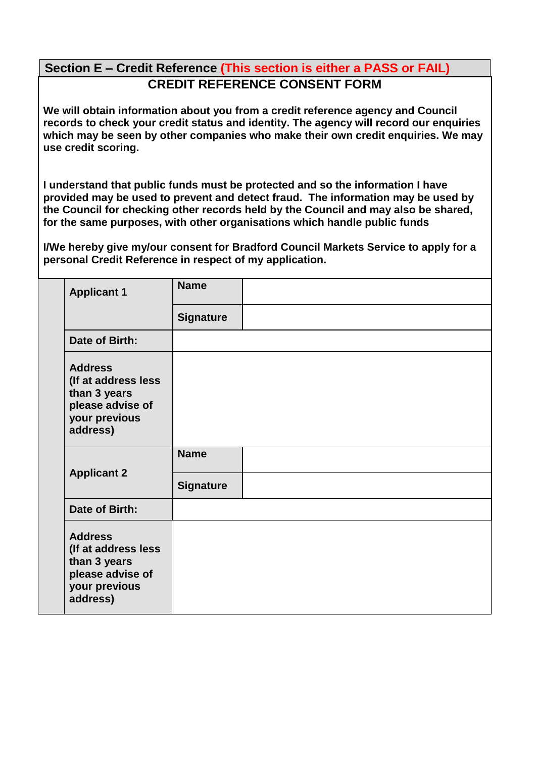## **Section E – Credit Reference (This section is either a PASS or FAIL) CREDIT REFERENCE CONSENT FORM**

**We will obtain information about you from a credit reference agency and Council records to check your credit status and identity. The agency will record our enquiries which may be seen by other companies who make their own credit enquiries. We may use credit scoring.**

**I understand that public funds must be protected and so the information I have provided may be used to prevent and detect fraud. The information may be used by the Council for checking other records held by the Council and may also be shared, for the same purposes, with other organisations which handle public funds**

**I/We hereby give my/our consent for Bradford Council Markets Service to apply for a personal Credit Reference in respect of my application.**

|                    | <b>Applicant 1</b>                                                                                     | <b>Name</b>      |  |
|--------------------|--------------------------------------------------------------------------------------------------------|------------------|--|
|                    |                                                                                                        | <b>Signature</b> |  |
|                    | Date of Birth:                                                                                         |                  |  |
|                    | <b>Address</b><br>(If at address less<br>than 3 years<br>please advise of<br>your previous<br>address) |                  |  |
| <b>Applicant 2</b> |                                                                                                        | <b>Name</b>      |  |
|                    |                                                                                                        | <b>Signature</b> |  |
|                    | Date of Birth:                                                                                         |                  |  |
|                    | <b>Address</b><br>(If at address less<br>than 3 years<br>please advise of<br>your previous<br>address) |                  |  |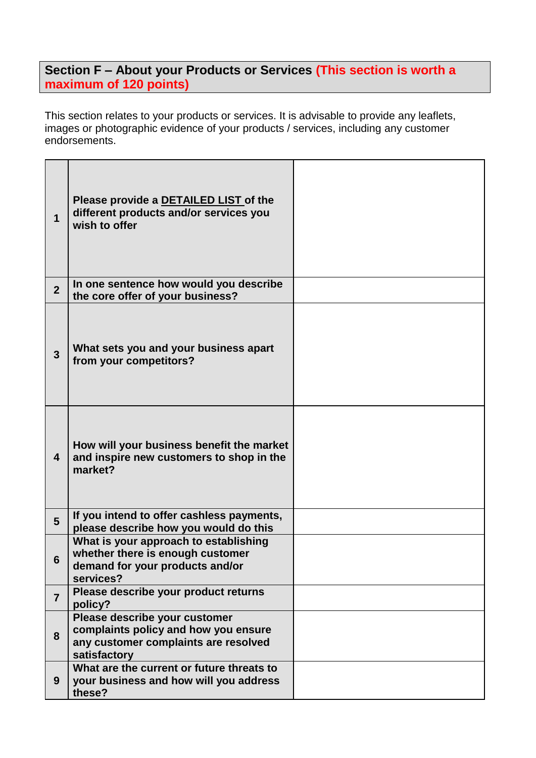# **Section F – About your Products or Services (This section is worth a maximum of 120 points)**

This section relates to your products or services. It is advisable to provide any leaflets, images or photographic evidence of your products / services, including any customer endorsements.

| 1                       | Please provide a DETAILED LIST of the<br>different products and/or services you<br>wish to offer                              |  |
|-------------------------|-------------------------------------------------------------------------------------------------------------------------------|--|
| $\overline{2}$          | In one sentence how would you describe<br>the core offer of your business?                                                    |  |
| $\mathbf{3}$            | What sets you and your business apart<br>from your competitors?                                                               |  |
| $\overline{\mathbf{4}}$ | How will your business benefit the market<br>and inspire new customers to shop in the<br>market?                              |  |
| $5\phantom{1}$          | If you intend to offer cashless payments,<br>please describe how you would do this                                            |  |
| 6                       | What is your approach to establishing<br>whether there is enough customer<br>demand for your products and/or<br>services?     |  |
| $\overline{7}$          | Please describe your product returns<br>policy?                                                                               |  |
| 8                       | Please describe your customer<br>complaints policy and how you ensure<br>any customer complaints are resolved<br>satisfactory |  |
| 9                       | What are the current or future threats to<br>your business and how will you address<br>these?                                 |  |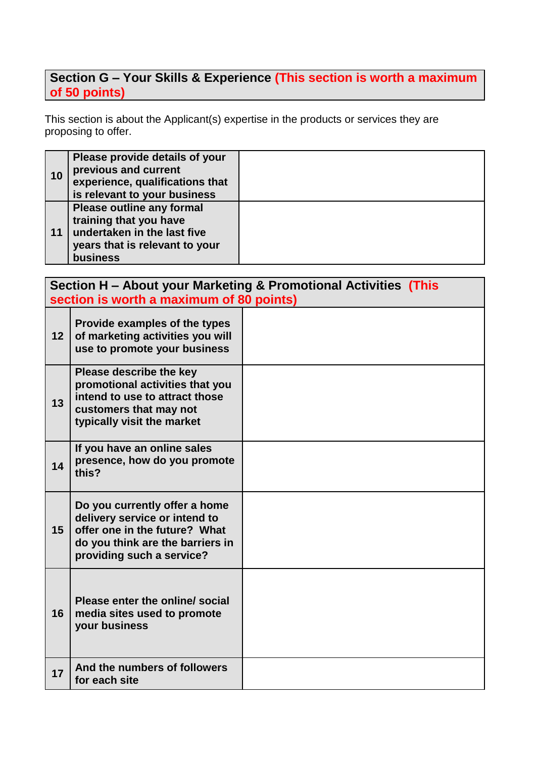### **Section G – Your Skills & Experience (This section is worth a maximum of 50 points)**

This section is about the Applicant(s) expertise in the products or services they are proposing to offer.

| 10 | Please provide details of your<br>previous and current<br>experience, qualifications that<br>is relevant to your business                      |  |
|----|------------------------------------------------------------------------------------------------------------------------------------------------|--|
| 11 | <b>Please outline any formal</b><br>training that you have<br>undertaken in the last five<br>years that is relevant to your<br><b>business</b> |  |

|    | section is worth a maximum of 80 points)                                                                                                                         | Section H – About your Marketing & Promotional Activities (This |
|----|------------------------------------------------------------------------------------------------------------------------------------------------------------------|-----------------------------------------------------------------|
| 12 | Provide examples of the types<br>of marketing activities you will<br>use to promote your business                                                                |                                                                 |
| 13 | Please describe the key<br>promotional activities that you<br>intend to use to attract those<br>customers that may not<br>typically visit the market             |                                                                 |
| 14 | If you have an online sales<br>presence, how do you promote<br>this?                                                                                             |                                                                 |
| 15 | Do you currently offer a home<br>delivery service or intend to<br>offer one in the future? What<br>do you think are the barriers in<br>providing such a service? |                                                                 |
| 16 | Please enter the online/ social<br>media sites used to promote<br>your business                                                                                  |                                                                 |
| 17 | And the numbers of followers<br>for each site                                                                                                                    |                                                                 |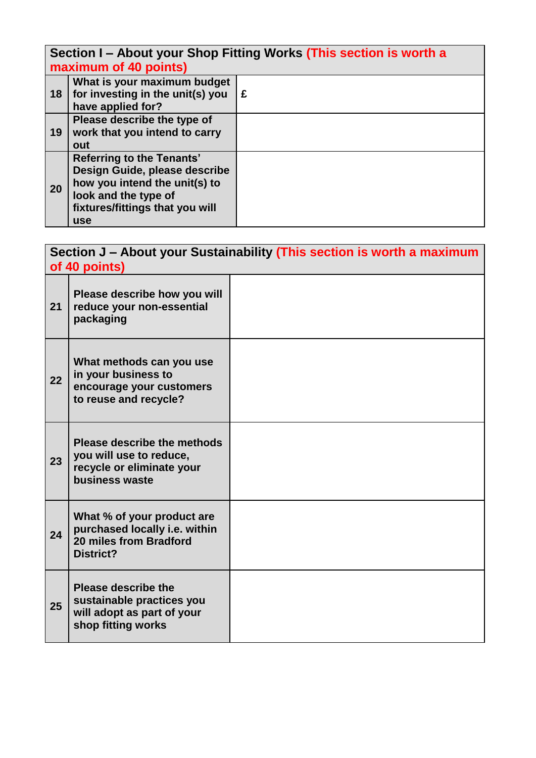**Section I – About your Shop Fitting Works (This section is worth a maximum of 40 points)**

|           | $\frac{1}{2}$                                                                                                                                                               |   |
|-----------|-----------------------------------------------------------------------------------------------------------------------------------------------------------------------------|---|
| 18        | What is your maximum budget<br>for investing in the unit(s) you<br>have applied for?                                                                                        | £ |
| 19        | Please describe the type of<br>work that you intend to carry<br>out                                                                                                         |   |
| <b>20</b> | <b>Referring to the Tenants'</b><br>Design Guide, please describe<br>how you intend the unit(s) to<br>look and the type of<br>fixtures/fittings that you will<br><b>use</b> |   |

|    | of 40 points)                                                                                               | Section J - About your Sustainability (This section is worth a maximum |
|----|-------------------------------------------------------------------------------------------------------------|------------------------------------------------------------------------|
| 21 | Please describe how you will<br>reduce your non-essential<br>packaging                                      |                                                                        |
| 22 | What methods can you use<br>in your business to<br>encourage your customers<br>to reuse and recycle?        |                                                                        |
| 23 | Please describe the methods<br>you will use to reduce,<br>recycle or eliminate your<br>business waste       |                                                                        |
| 24 | What % of your product are<br>purchased locally i.e. within<br>20 miles from Bradford<br><b>District?</b>   |                                                                        |
| 25 | <b>Please describe the</b><br>sustainable practices you<br>will adopt as part of your<br>shop fitting works |                                                                        |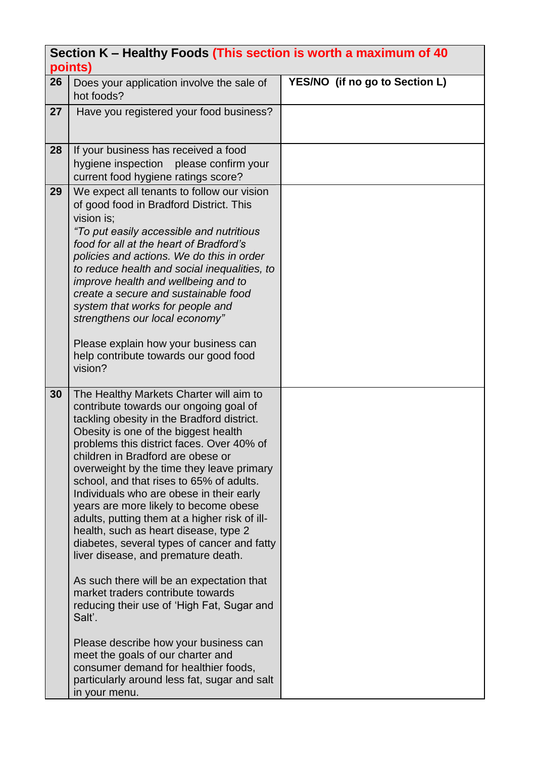|    | Section K - Healthy Foods (This section is worth a maximum of 40<br>points)            |                                |
|----|----------------------------------------------------------------------------------------|--------------------------------|
| 26 | Does your application involve the sale of                                              | YES/NO (if no go to Section L) |
|    | hot foods?                                                                             |                                |
| 27 | Have you registered your food business?                                                |                                |
|    |                                                                                        |                                |
| 28 | If your business has received a food                                                   |                                |
|    | hygiene inspection<br>please confirm your<br>current food hygiene ratings score?       |                                |
| 29 | We expect all tenants to follow our vision                                             |                                |
|    | of good food in Bradford District. This                                                |                                |
|    | vision is:                                                                             |                                |
|    | "To put easily accessible and nutritious<br>food for all at the heart of Bradford's    |                                |
|    | policies and actions. We do this in order                                              |                                |
|    | to reduce health and social inequalities, to                                           |                                |
|    | improve health and wellbeing and to<br>create a secure and sustainable food            |                                |
|    | system that works for people and                                                       |                                |
|    | strengthens our local economy"                                                         |                                |
|    | Please explain how your business can                                                   |                                |
|    | help contribute towards our good food                                                  |                                |
|    | vision?                                                                                |                                |
| 30 | The Healthy Markets Charter will aim to                                                |                                |
|    | contribute towards our ongoing goal of                                                 |                                |
|    | tackling obesity in the Bradford district.<br>Obesity is one of the biggest health     |                                |
|    | problems this district faces. Over 40% of                                              |                                |
|    | children in Bradford are obese or                                                      |                                |
|    | overweight by the time they leave primary<br>school, and that rises to 65% of adults.  |                                |
|    | Individuals who are obese in their early                                               |                                |
|    | years are more likely to become obese                                                  |                                |
|    | adults, putting them at a higher risk of ill-<br>health, such as heart disease, type 2 |                                |
|    | diabetes, several types of cancer and fatty                                            |                                |
|    | liver disease, and premature death.                                                    |                                |
|    | As such there will be an expectation that                                              |                                |
|    | market traders contribute towards                                                      |                                |
|    | reducing their use of 'High Fat, Sugar and<br>Salt'.                                   |                                |
|    | Please describe how your business can                                                  |                                |
|    | meet the goals of our charter and                                                      |                                |
|    | consumer demand for healthier foods,                                                   |                                |
|    | particularly around less fat, sugar and salt<br>in your menu.                          |                                |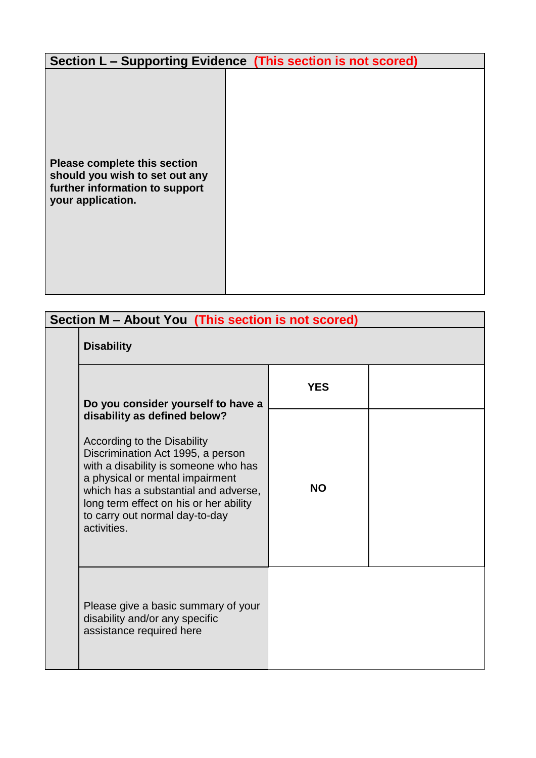|                                                                                                                       | Section L - Supporting Evidence (This section is not scored) |
|-----------------------------------------------------------------------------------------------------------------------|--------------------------------------------------------------|
| Please complete this section<br>should you wish to set out any<br>further information to support<br>your application. |                                                              |

| Section M - About You (This section is not scored)                                                                                                                                                                                                                                                             |            |  |  |
|----------------------------------------------------------------------------------------------------------------------------------------------------------------------------------------------------------------------------------------------------------------------------------------------------------------|------------|--|--|
| <b>Disability</b>                                                                                                                                                                                                                                                                                              |            |  |  |
| Do you consider yourself to have a                                                                                                                                                                                                                                                                             | <b>YES</b> |  |  |
| disability as defined below?<br>According to the Disability<br>Discrimination Act 1995, a person<br>with a disability is someone who has<br>a physical or mental impairment<br>which has a substantial and adverse,<br>long term effect on his or her ability<br>to carry out normal day-to-day<br>activities. | <b>NO</b>  |  |  |
| Please give a basic summary of your<br>disability and/or any specific<br>assistance required here                                                                                                                                                                                                              |            |  |  |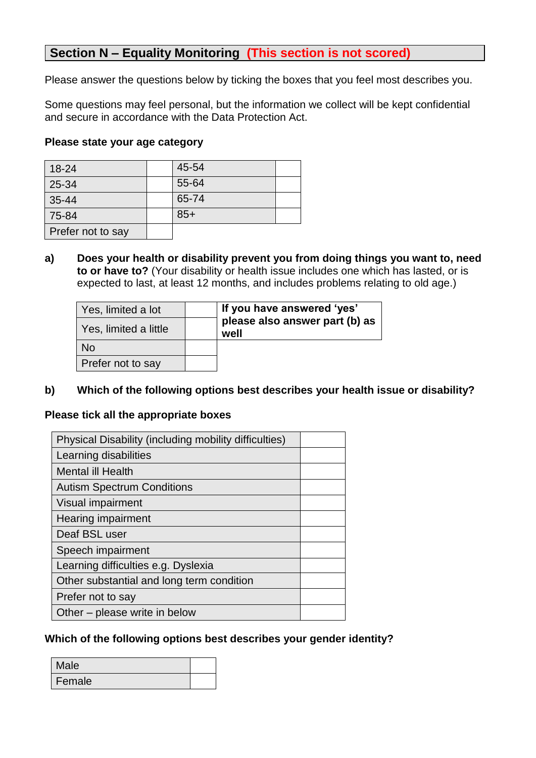### **Section N – Equality Monitoring (This section is not scored)**

Please answer the questions below by ticking the boxes that you feel most describes you.

Some questions may feel personal, but the information we collect will be kept confidential and secure in accordance with the Data Protection Act.

#### **Please state your age category**

| 18-24             | 45-54 |  |
|-------------------|-------|--|
| 25-34             | 55-64 |  |
| $35 - 44$         | 65-74 |  |
| 75-84             | $85+$ |  |
| Prefer not to say |       |  |

**a) Does your health or disability prevent you from doing things you want to, need to or have to?** (Your disability or health issue includes one which has lasted, or is expected to last, at least 12 months, and includes problems relating to old age.)

| Yes, limited a lot    |  | If you have answered 'yes'<br>please also answer part (b) as<br>well |  |
|-----------------------|--|----------------------------------------------------------------------|--|
| Yes, limited a little |  |                                                                      |  |
| No                    |  |                                                                      |  |
| Prefer not to say     |  |                                                                      |  |

#### **b) Which of the following options best describes your health issue or disability?**

#### **Please tick all the appropriate boxes**

| Physical Disability (including mobility difficulties) |  |
|-------------------------------------------------------|--|
| Learning disabilities                                 |  |
| <b>Mental ill Health</b>                              |  |
| <b>Autism Spectrum Conditions</b>                     |  |
| Visual impairment                                     |  |
| <b>Hearing impairment</b>                             |  |
| Deaf BSL user                                         |  |
| Speech impairment                                     |  |
| Learning difficulties e.g. Dyslexia                   |  |
| Other substantial and long term condition             |  |
| Prefer not to say                                     |  |
| Other – please write in below                         |  |

#### **Which of the following options best describes your gender identity?**

| Male   |  |
|--------|--|
| Female |  |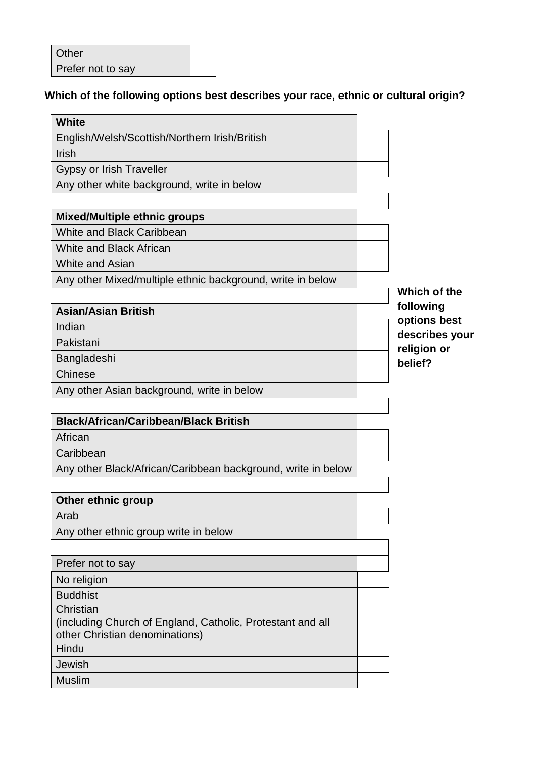| Other             |  |
|-------------------|--|
| Prefer not to say |  |

# **Which of the following options best describes your race, ethnic or cultural origin?**

| <b>White</b>                                                 |                |
|--------------------------------------------------------------|----------------|
| English/Welsh/Scottish/Northern Irish/British                |                |
| <b>Irish</b>                                                 |                |
| <b>Gypsy or Irish Traveller</b>                              |                |
| Any other white background, write in below                   |                |
|                                                              |                |
| <b>Mixed/Multiple ethnic groups</b>                          |                |
| <b>White and Black Caribbean</b>                             |                |
| <b>White and Black African</b>                               |                |
| <b>White and Asian</b>                                       |                |
| Any other Mixed/multiple ethnic background, write in below   | Which of the   |
|                                                              | following      |
| <b>Asian/Asian British</b>                                   | options best   |
| Indian                                                       | describes your |
| Pakistani                                                    | religion or    |
| Bangladeshi                                                  | belief?        |
| <b>Chinese</b>                                               |                |
| Any other Asian background, write in below                   |                |
|                                                              |                |
| <b>Black/African/Caribbean/Black British</b>                 |                |
| African                                                      |                |
| Caribbean                                                    |                |
| Any other Black/African/Caribbean background, write in below |                |
|                                                              |                |
| Other ethnic group                                           |                |
| Arab                                                         |                |
| Any other ethnic group write in below                        |                |
| Prefer not to say                                            |                |
| No religion                                                  |                |
| <b>Buddhist</b>                                              |                |
| Christian                                                    |                |
| (including Church of England, Catholic, Protestant and all   |                |
| other Christian denominations)                               |                |
| Hindu                                                        |                |
| Jewish                                                       |                |
| <b>Muslim</b>                                                |                |